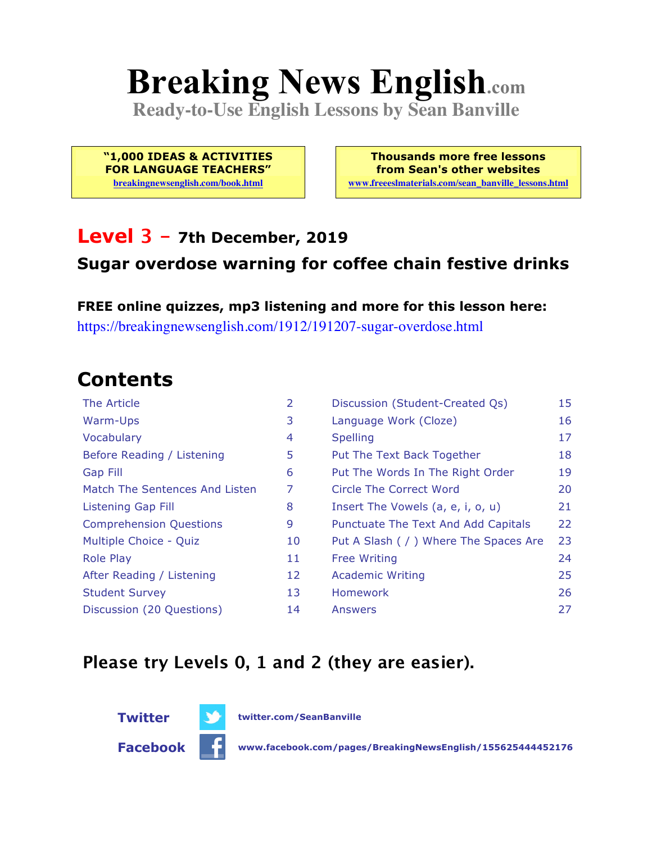# **Breaking News English.com**

**Ready-to-Use English Lessons by Sean Banville**

**"1,000 IDEAS & ACTIVITIES FOR LANGUAGE TEACHERS"**

**breakingnewsenglish.com/book.html**

**Thousands more free lessons from Sean's other websites www.freeeslmaterials.com/sean\_banville\_lessons.html**

#### **Level 3 - 7th December, 2019 Sugar overdose warning for coffee chain festive drinks**

**FREE online quizzes, mp3 listening and more for this lesson here:** https://breakingnewsenglish.com/1912/191207-sugar-overdose.html

### **Contents**

| The Article                    | $\overline{2}$ | Discussion (Student-Created Qs)        | 15 |
|--------------------------------|----------------|----------------------------------------|----|
| Warm-Ups                       | 3              | Language Work (Cloze)                  | 16 |
| Vocabulary                     | 4              | <b>Spelling</b>                        | 17 |
| Before Reading / Listening     | 5              | Put The Text Back Together             | 18 |
| Gap Fill                       | 6              | Put The Words In The Right Order       | 19 |
| Match The Sentences And Listen | 7              | Circle The Correct Word                | 20 |
| <b>Listening Gap Fill</b>      | 8              | Insert The Vowels (a, e, i, o, u)      | 21 |
| <b>Comprehension Questions</b> | 9              | Punctuate The Text And Add Capitals    | 22 |
| Multiple Choice - Quiz         | 10             | Put A Slash ( / ) Where The Spaces Are | 23 |
| <b>Role Play</b>               | 11             | <b>Free Writing</b>                    | 24 |
| After Reading / Listening      | 12             | <b>Academic Writing</b>                | 25 |
| <b>Student Survey</b>          | 13             | <b>Homework</b>                        | 26 |
| Discussion (20 Questions)      | 14             | Answers                                | 27 |

#### **Please try Levels 0, 1 and 2 (they are easier).**

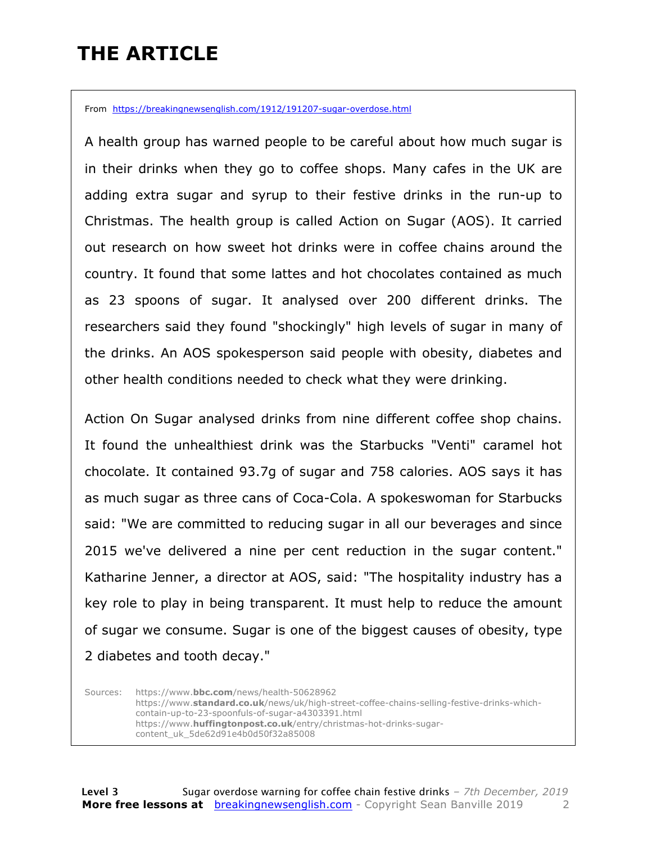### **THE ARTICLE**

From https://breakingnewsenglish.com/1912/191207-sugar-overdose.html

A health group has warned people to be careful about how much sugar is in their drinks when they go to coffee shops. Many cafes in the UK are adding extra sugar and syrup to their festive drinks in the run-up to Christmas. The health group is called Action on Sugar (AOS). It carried out research on how sweet hot drinks were in coffee chains around the country. It found that some lattes and hot chocolates contained as much as 23 spoons of sugar. It analysed over 200 different drinks. The researchers said they found "shockingly" high levels of sugar in many of the drinks. An AOS spokesperson said people with obesity, diabetes and other health conditions needed to check what they were drinking.

Action On Sugar analysed drinks from nine different coffee shop chains. It found the unhealthiest drink was the Starbucks "Venti" caramel hot chocolate. It contained 93.7g of sugar and 758 calories. AOS says it has as much sugar as three cans of Coca-Cola. A spokeswoman for Starbucks said: "We are committed to reducing sugar in all our beverages and since 2015 we've delivered a nine per cent reduction in the sugar content." Katharine Jenner, a director at AOS, said: "The hospitality industry has a key role to play in being transparent. It must help to reduce the amount of sugar we consume. Sugar is one of the biggest causes of obesity, type 2 diabetes and tooth decay."

Sources: https://www.**bbc.com**/news/health-50628962 https://www.**standard.co.uk**/news/uk/high-street-coffee-chains-selling-festive-drinks-whichcontain-up-to-23-spoonfuls-of-sugar-a4303391.html https://www.**huffingtonpost.co.uk**/entry/christmas-hot-drinks-sugarcontent\_uk\_5de62d91e4b0d50f32a85008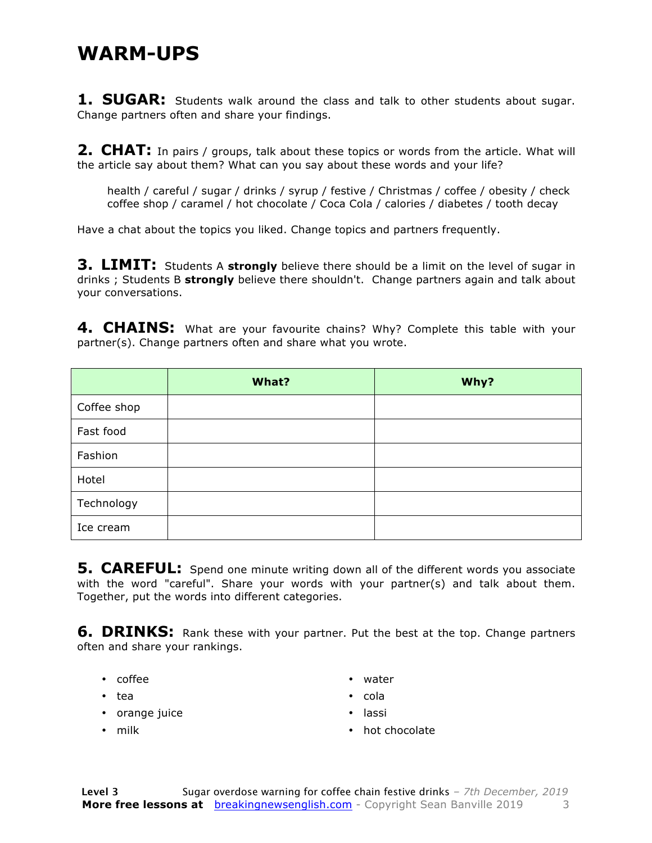#### **WARM-UPS**

**1. SUGAR:** Students walk around the class and talk to other students about sugar. Change partners often and share your findings.

**2. CHAT:** In pairs / groups, talk about these topics or words from the article. What will the article say about them? What can you say about these words and your life?

health / careful / sugar / drinks / syrup / festive / Christmas / coffee / obesity / check coffee shop / caramel / hot chocolate / Coca Cola / calories / diabetes / tooth decay

Have a chat about the topics you liked. Change topics and partners frequently.

**3. LIMIT:** Students A strongly believe there should be a limit on the level of sugar in drinks ; Students B **strongly** believe there shouldn't. Change partners again and talk about your conversations.

**4. CHAINS:** What are your favourite chains? Why? Complete this table with your partner(s). Change partners often and share what you wrote.

|             | What? | Why? |
|-------------|-------|------|
| Coffee shop |       |      |
| Fast food   |       |      |
| Fashion     |       |      |
| Hotel       |       |      |
| Technology  |       |      |
| Ice cream   |       |      |

**5. CAREFUL:** Spend one minute writing down all of the different words you associate with the word "careful". Share your words with your partner(s) and talk about them. Together, put the words into different categories.

**6. DRINKS:** Rank these with your partner. Put the best at the top. Change partners often and share your rankings.

- coffee
- tea
- orange juice
- water • cola
- lassi

• milk

• hot chocolate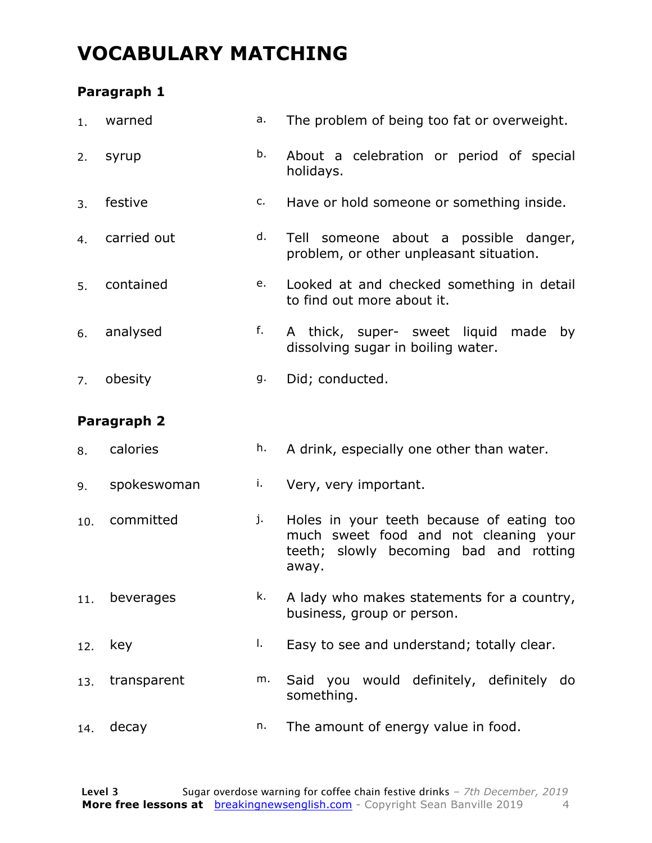### **VOCABULARY MATCHING**

#### **Paragraph 1**

| 1.  | warned      | а. | The problem of being too fat or overweight.                                                                                           |
|-----|-------------|----|---------------------------------------------------------------------------------------------------------------------------------------|
| 2.  | syrup       | b. | About a celebration or period of special<br>holidays.                                                                                 |
| 3.  | festive     | c. | Have or hold someone or something inside.                                                                                             |
| 4.  | carried out | d. | Tell someone about a possible danger,<br>problem, or other unpleasant situation.                                                      |
| 5.  | contained   | e. | Looked at and checked something in detail<br>to find out more about it.                                                               |
| 6.  | analysed    | f. | A thick, super- sweet liquid<br>made<br>by<br>dissolving sugar in boiling water.                                                      |
| 7.  | obesity     | g. | Did; conducted.                                                                                                                       |
|     | Paragraph 2 |    |                                                                                                                                       |
| 8.  | calories    | h. | A drink, especially one other than water.                                                                                             |
| 9.  | spokeswoman | i. | Very, very important.                                                                                                                 |
| 10. | committed   | j. | Holes in your teeth because of eating too<br>much sweet food and not cleaning your<br>teeth; slowly becoming bad and rotting<br>away. |
| 11. | beverages   | k. | A lady who makes statements for a country,<br>business, group or person.                                                              |
| 12. |             | I. | Easy to see and understand; totally clear.                                                                                            |
|     | key         |    |                                                                                                                                       |
| 13. | transparent | m. | Said you would definitely, definitely<br>do<br>something.                                                                             |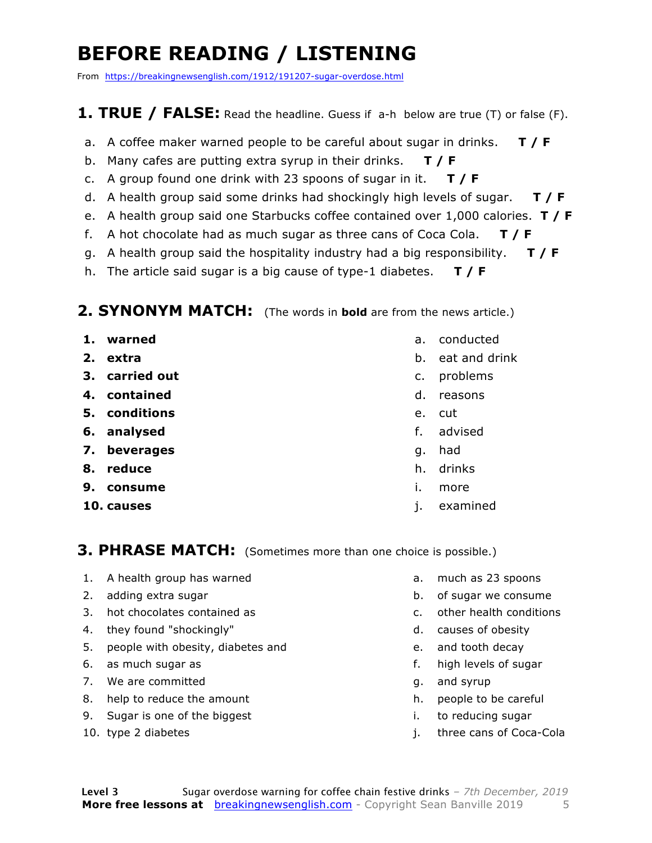### **BEFORE READING / LISTENING**

From https://breakingnewsenglish.com/1912/191207-sugar-overdose.html

#### **1. TRUE / FALSE:** Read the headline. Guess if a-h below are true (T) or false (F).

- a. A coffee maker warned people to be careful about sugar in drinks. **T / F**
- b. Many cafes are putting extra syrup in their drinks. **T / F**
- c. A group found one drink with 23 spoons of sugar in it. **T / F**
- d. A health group said some drinks had shockingly high levels of sugar. **T / F**
- e. A health group said one Starbucks coffee contained over 1,000 calories. **T / F**
- f. A hot chocolate had as much sugar as three cans of Coca Cola. **T / F**
- g. A health group said the hospitality industry had a big responsibility. **T / F**
- h. The article said sugar is a big cause of type-1 diabetes. **T / F**

#### **2. SYNONYM MATCH:** (The words in **bold** are from the news article.)

- **1. warned**
- **2. extra**
- **3. carried out**
- **4. contained**
- **5. conditions**
- **6. analysed**
- **7. beverages**
- **8. reduce**
- **9. consume**
- **10. causes**
- a. conducted
- b. eat and drink
- c. problems
- d. reasons
- e. cut
- f. advised
- g. had
- h. drinks
- i. more
- j. examined

#### **3. PHRASE MATCH:** (Sometimes more than one choice is possible.)

- 1. A health group has warned
- 2. adding extra sugar
- 3. hot chocolates contained as
- 4. they found "shockingly"
- 5. people with obesity, diabetes and
- 6. as much sugar as
- 7. We are committed
- 8. help to reduce the amount
- 9. Sugar is one of the biggest
- 10. type 2 diabetes
- a. much as 23 spoons
- b. of sugar we consume
- c. other health conditions
- d. causes of obesity
- e. and tooth decay
- f. high levels of sugar
- g. and syrup
- h. people to be careful
- i. to reducing sugar
- j. three cans of Coca-Cola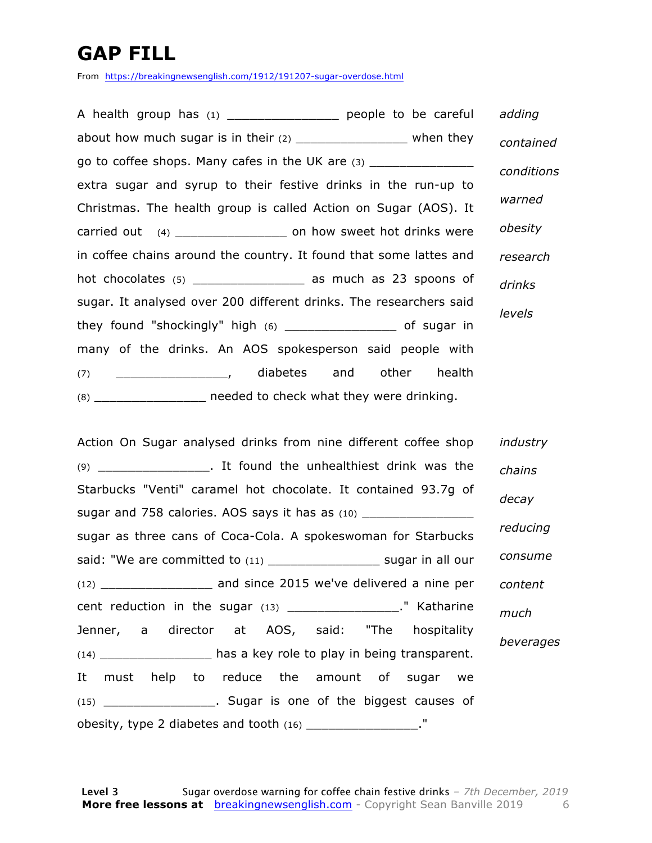### **GAP FILL**

From https://breakingnewsenglish.com/1912/191207-sugar-overdose.html

A health group has (1) \_\_\_\_\_\_\_\_\_\_\_\_\_\_\_\_\_\_\_ people to be careful about how much sugar is in their  $(2)$  \_\_\_\_\_\_\_\_\_\_\_\_\_\_\_\_\_\_\_ when they go to coffee shops. Many cafes in the UK are (3) extra sugar and syrup to their festive drinks in the run-up to Christmas. The health group is called Action on Sugar (AOS). It carried out (4) \_\_\_\_\_\_\_\_\_\_\_\_\_\_\_ on how sweet hot drinks were in coffee chains around the country. It found that some lattes and hot chocolates (5) \_\_\_\_\_\_\_\_\_\_\_\_\_\_\_\_\_\_\_ as much as 23 spoons of sugar. It analysed over 200 different drinks. The researchers said they found "shockingly" high (6) \_\_\_\_\_\_\_\_\_\_\_\_\_\_\_ of sugar in many of the drinks. An AOS spokesperson said people with (7) \_\_\_\_\_\_\_\_\_\_\_\_\_\_\_, diabetes and other health (8) \_\_\_\_\_\_\_\_\_\_\_\_\_\_\_ needed to check what they were drinking. *adding contained conditions warned obesity research drinks levels*

Action On Sugar analysed drinks from nine different coffee shop (9) The same of the unhealthiest drink was the unit of the unit of the unit of the unit of the unit of the unit of the unit of the unit of the unit of the unit of the unit of the unit of the unit of the unit of the unit of Starbucks "Venti" caramel hot chocolate. It contained 93.7g of sugar and 758 calories. AOS says it has as (10) sugar as three cans of Coca-Cola. A spokeswoman for Starbucks said: "We are committed to (11) \_\_\_\_\_\_\_\_\_\_\_\_\_\_\_\_\_\_\_\_ sugar in all our (12) \_\_\_\_\_\_\_\_\_\_\_\_\_\_\_ and since 2015 we've delivered a nine per cent reduction in the sugar (13) \_\_\_\_\_\_\_\_\_\_\_\_\_\_\_\_\_\_\_." Katharine Jenner, a director at AOS, said: "The hospitality (14) \_\_\_\_\_\_\_\_\_\_\_\_\_\_\_ has a key role to play in being transparent. It must help to reduce the amount of sugar we (15) \_\_\_\_\_\_\_\_\_\_\_\_\_\_\_. Sugar is one of the biggest causes of obesity, type 2 diabetes and tooth (16) \_\_\_\_\_\_\_\_\_\_\_\_\_\_\_\_\_. " *industry chains decay reducing consume content much beverages*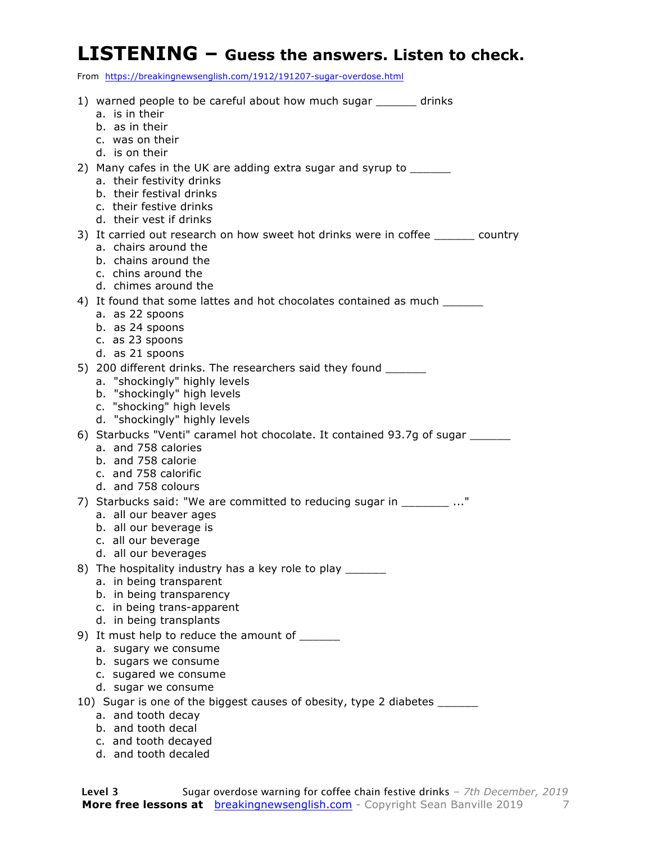#### **LISTENING – Guess the answers. Listen to check.**

From https://breakingnewsenglish.com/1912/191207-sugar-overdose.html

| 1) warned people to be careful about how much sugar ______ drinks                 |
|-----------------------------------------------------------------------------------|
|                                                                                   |
|                                                                                   |
|                                                                                   |
|                                                                                   |
|                                                                                   |
|                                                                                   |
|                                                                                   |
|                                                                                   |
| 3) It carried out research on how sweet hot drinks were in coffee _______ country |
|                                                                                   |
|                                                                                   |
|                                                                                   |
| 4) It found that some lattes and hot chocolates contained as much ______________  |
|                                                                                   |
|                                                                                   |
|                                                                                   |
|                                                                                   |
|                                                                                   |
|                                                                                   |
|                                                                                   |
|                                                                                   |
| 6) Starbucks "Venti" caramel hot chocolate. It contained 93.7g of sugar _______   |
|                                                                                   |
|                                                                                   |
|                                                                                   |
|                                                                                   |
| 7) Starbucks said: "We are committed to reducing sugar in ________ "              |
|                                                                                   |
|                                                                                   |
|                                                                                   |
|                                                                                   |
|                                                                                   |
|                                                                                   |
|                                                                                   |
|                                                                                   |
|                                                                                   |
|                                                                                   |
|                                                                                   |
|                                                                                   |
|                                                                                   |
| 10) Sugar is one of the biggest causes of obesity, type 2 diabetes ______         |
|                                                                                   |
|                                                                                   |
|                                                                                   |
|                                                                                   |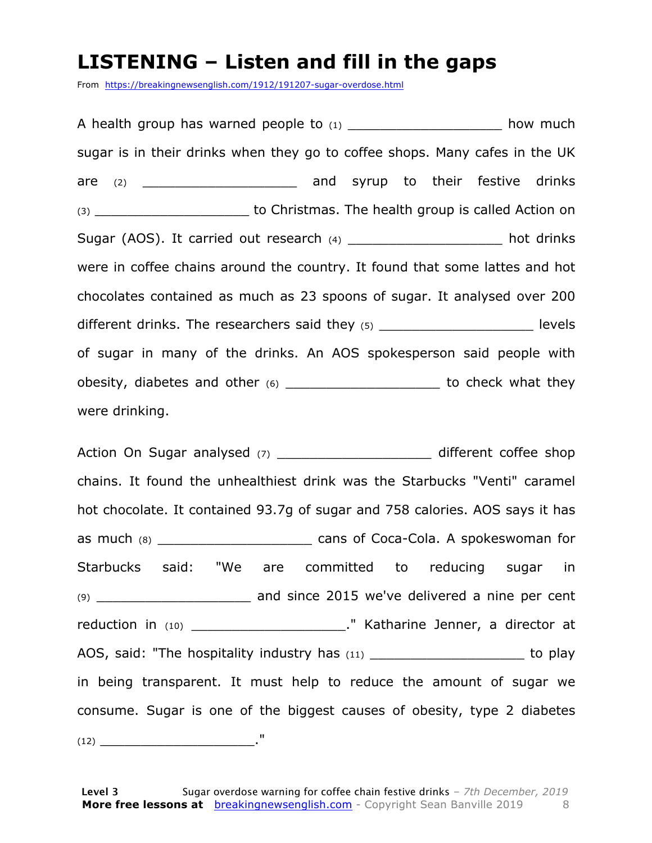#### **LISTENING – Listen and fill in the gaps**

From https://breakingnewsenglish.com/1912/191207-sugar-overdose.html

A health group has warned people to  $(1)$  and the set of  $(2)$  how much sugar is in their drinks when they go to coffee shops. Many cafes in the UK are (2) \_\_\_\_\_\_\_\_\_\_\_\_\_\_\_\_\_\_\_ and syrup to their festive drinks (3) **Example 20** to Christmas. The health group is called Action on Sugar (AOS). It carried out research (4) \_\_\_\_\_\_\_\_\_\_\_\_\_\_\_\_\_\_\_\_\_ hot drinks were in coffee chains around the country. It found that some lattes and hot chocolates contained as much as 23 spoons of sugar. It analysed over 200 different drinks. The researchers said they  $(5)$   $\qquad$   $\qquad$  levels of sugar in many of the drinks. An AOS spokesperson said people with obesity, diabetes and other (6) example to check what they were drinking.

Action On Sugar analysed (7) \_\_\_\_\_\_\_\_\_\_\_\_\_\_\_\_\_\_\_\_\_\_\_\_\_\_ different coffee shop chains. It found the unhealthiest drink was the Starbucks "Venti" caramel hot chocolate. It contained 93.7g of sugar and 758 calories. AOS says it has as much (8) \_\_\_\_\_\_\_\_\_\_\_\_\_\_\_\_\_\_\_\_\_\_\_\_\_\_\_\_\_\_ cans of Coca-Cola. A spokeswoman for Starbucks said: "We are committed to reducing sugar in (9) \_\_\_\_\_\_\_\_\_\_\_\_\_\_\_\_\_\_\_ and since 2015 we've delivered a nine per cent reduction in (10) \_\_\_\_\_\_\_\_\_\_\_\_\_\_\_\_\_\_\_\_\_\_\_." Katharine Jenner, a director at AOS, said: "The hospitality industry has (11) \_\_\_\_\_\_\_\_\_\_\_\_\_\_\_\_\_\_\_\_\_\_\_\_\_to play in being transparent. It must help to reduce the amount of sugar we consume. Sugar is one of the biggest causes of obesity, type 2 diabetes (12) \_\_\_\_\_\_\_\_\_\_\_\_\_\_\_\_\_\_\_."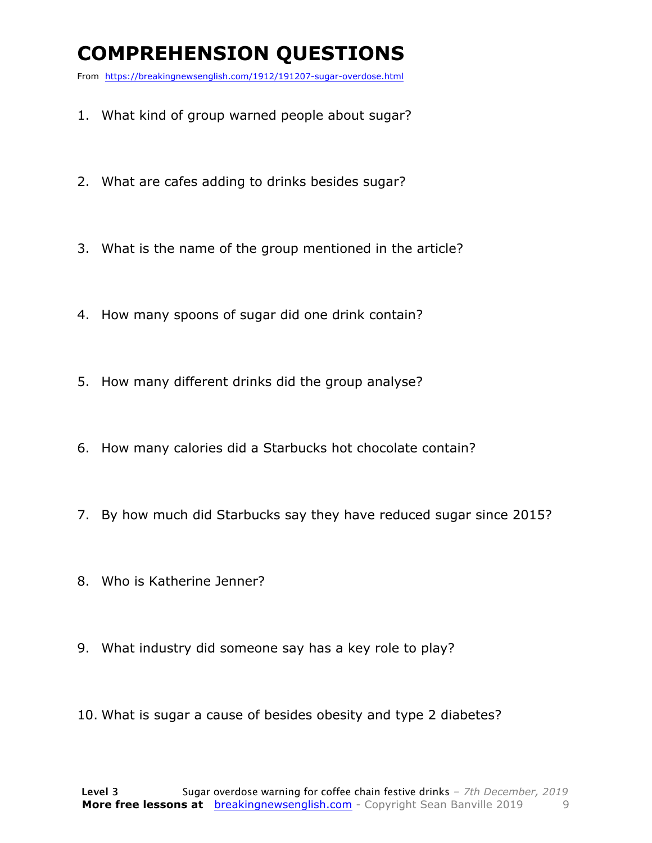### **COMPREHENSION QUESTIONS**

From https://breakingnewsenglish.com/1912/191207-sugar-overdose.html

- 1. What kind of group warned people about sugar?
- 2. What are cafes adding to drinks besides sugar?
- 3. What is the name of the group mentioned in the article?
- 4. How many spoons of sugar did one drink contain?
- 5. How many different drinks did the group analyse?
- 6. How many calories did a Starbucks hot chocolate contain?
- 7. By how much did Starbucks say they have reduced sugar since 2015?
- 8. Who is Katherine Jenner?
- 9. What industry did someone say has a key role to play?
- 10. What is sugar a cause of besides obesity and type 2 diabetes?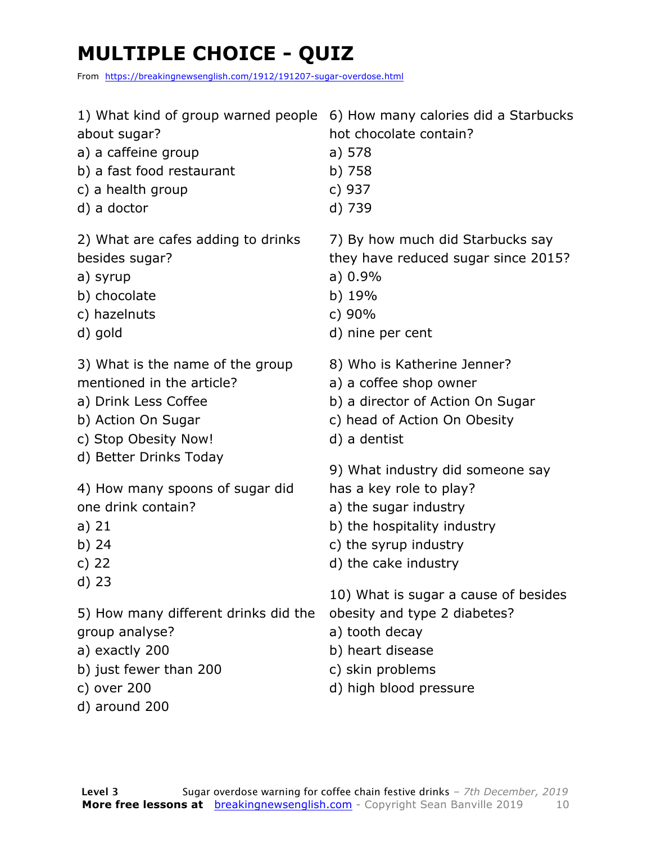### **MULTIPLE CHOICE - QUIZ**

From https://breakingnewsenglish.com/1912/191207-sugar-overdose.html

| 1) What kind of group warned people                                                                                                           | 6) How many calories did a Starbucks                                                                                                                     |
|-----------------------------------------------------------------------------------------------------------------------------------------------|----------------------------------------------------------------------------------------------------------------------------------------------------------|
| about sugar?                                                                                                                                  | hot chocolate contain?                                                                                                                                   |
| a) a caffeine group                                                                                                                           | a) 578                                                                                                                                                   |
| b) a fast food restaurant                                                                                                                     | b) 758                                                                                                                                                   |
| c) a health group                                                                                                                             | c) 937                                                                                                                                                   |
| d) a doctor                                                                                                                                   | d) 739                                                                                                                                                   |
| 2) What are cafes adding to drinks                                                                                                            | 7) By how much did Starbucks say                                                                                                                         |
| besides sugar?                                                                                                                                | they have reduced sugar since 2015?                                                                                                                      |
| a) syrup                                                                                                                                      | a) 0.9%                                                                                                                                                  |
| b) chocolate                                                                                                                                  | b) 19%                                                                                                                                                   |
| c) hazelnuts                                                                                                                                  | c) 90%                                                                                                                                                   |
| d) gold                                                                                                                                       | d) nine per cent                                                                                                                                         |
| 3) What is the name of the group                                                                                                              | 8) Who is Katherine Jenner?                                                                                                                              |
| mentioned in the article?                                                                                                                     | a) a coffee shop owner                                                                                                                                   |
| a) Drink Less Coffee                                                                                                                          | b) a director of Action On Sugar                                                                                                                         |
| b) Action On Sugar                                                                                                                            | c) head of Action On Obesity                                                                                                                             |
| c) Stop Obesity Now!                                                                                                                          | d) a dentist                                                                                                                                             |
| d) Better Drinks Today                                                                                                                        | 9) What industry did someone say                                                                                                                         |
| 4) How many spoons of sugar did                                                                                                               | has a key role to play?                                                                                                                                  |
| one drink contain?                                                                                                                            | a) the sugar industry                                                                                                                                    |
| a) $21$                                                                                                                                       | b) the hospitality industry                                                                                                                              |
| b) 24                                                                                                                                         | c) the syrup industry                                                                                                                                    |
| c) $22$                                                                                                                                       | d) the cake industry                                                                                                                                     |
| $d)$ 23<br>5) How many different drinks did the<br>group analyse?<br>a) exactly 200<br>b) just fewer than 200<br>c) over 200<br>d) around 200 | 10) What is sugar a cause of besides<br>obesity and type 2 diabetes?<br>a) tooth decay<br>b) heart disease<br>c) skin problems<br>d) high blood pressure |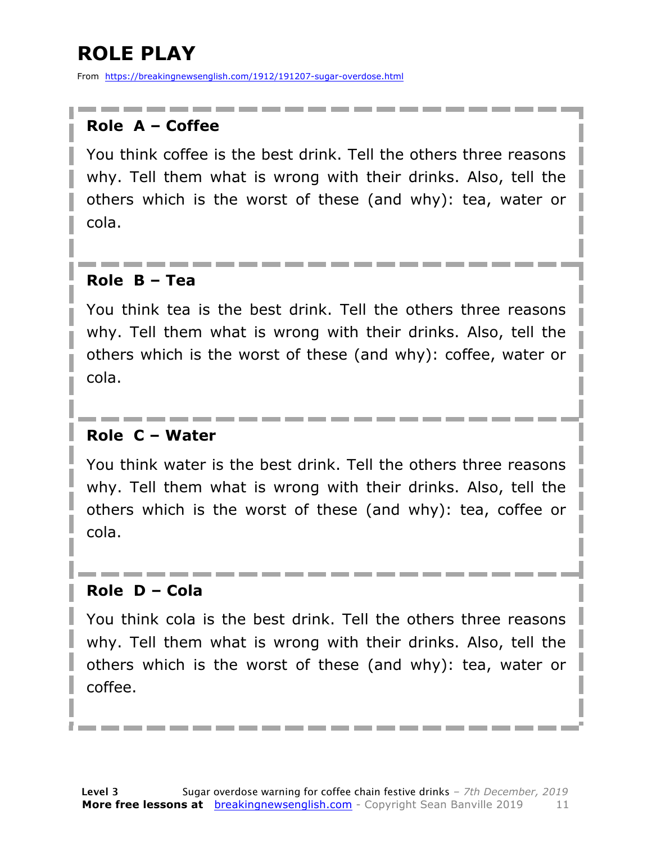### **ROLE PLAY**

From https://breakingnewsenglish.com/1912/191207-sugar-overdose.html

#### **Role A – Coffee**

You think coffee is the best drink. Tell the others three reasons why. Tell them what is wrong with their drinks. Also, tell the others which is the worst of these (and why): tea, water or cola.

#### **Role B – Tea**

You think tea is the best drink. Tell the others three reasons why. Tell them what is wrong with their drinks. Also, tell the others which is the worst of these (and why): coffee, water or cola.

#### **Role C – Water**

You think water is the best drink. Tell the others three reasons why. Tell them what is wrong with their drinks. Also, tell the others which is the worst of these (and why): tea, coffee or cola.

#### **Role D – Cola**

You think cola is the best drink. Tell the others three reasons why. Tell them what is wrong with their drinks. Also, tell the others which is the worst of these (and why): tea, water or coffee.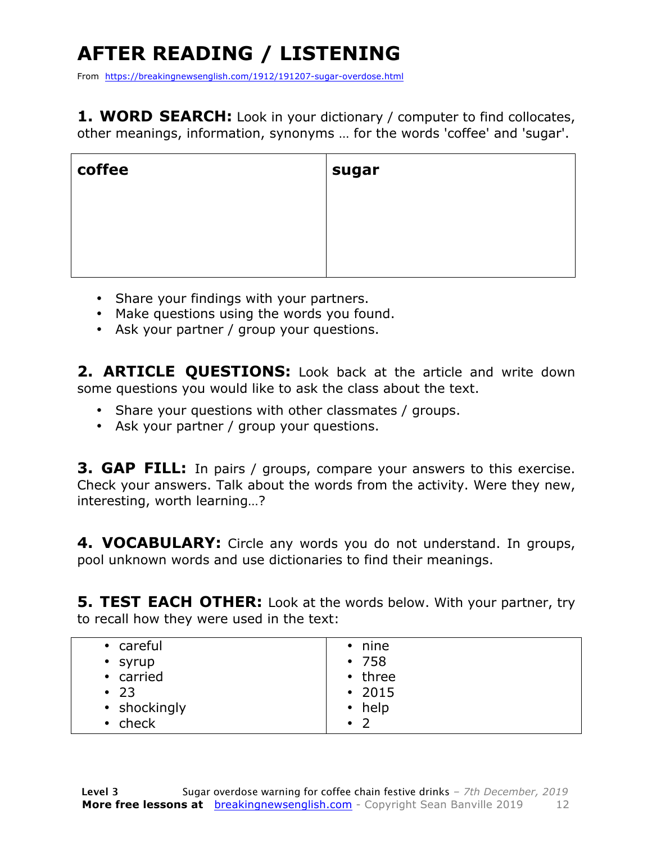## **AFTER READING / LISTENING**

From https://breakingnewsenglish.com/1912/191207-sugar-overdose.html

**1. WORD SEARCH:** Look in your dictionary / computer to find collocates, other meanings, information, synonyms … for the words 'coffee' and 'sugar'.

| coffee | sugar |
|--------|-------|
|        |       |
|        |       |
|        |       |

- Share your findings with your partners.
- Make questions using the words you found.
- Ask your partner / group your questions.

2. **ARTICLE OUESTIONS:** Look back at the article and write down some questions you would like to ask the class about the text.

- Share your questions with other classmates / groups.
- Ask your partner / group your questions.

**3. GAP FILL:** In pairs / groups, compare your answers to this exercise. Check your answers. Talk about the words from the activity. Were they new, interesting, worth learning…?

**4. VOCABULARY:** Circle any words you do not understand. In groups, pool unknown words and use dictionaries to find their meanings.

**5. TEST EACH OTHER:** Look at the words below. With your partner, try to recall how they were used in the text:

| • careful    | $\cdot$ nine                |
|--------------|-----------------------------|
| • syrup      | •758                        |
| • carried    | $\cdot$ three               |
| $\cdot$ 23   | $\cdot$ 2015                |
| • shockingly | $\cdot$ help                |
| • check      | $\overline{2}$<br>$\bullet$ |
|              |                             |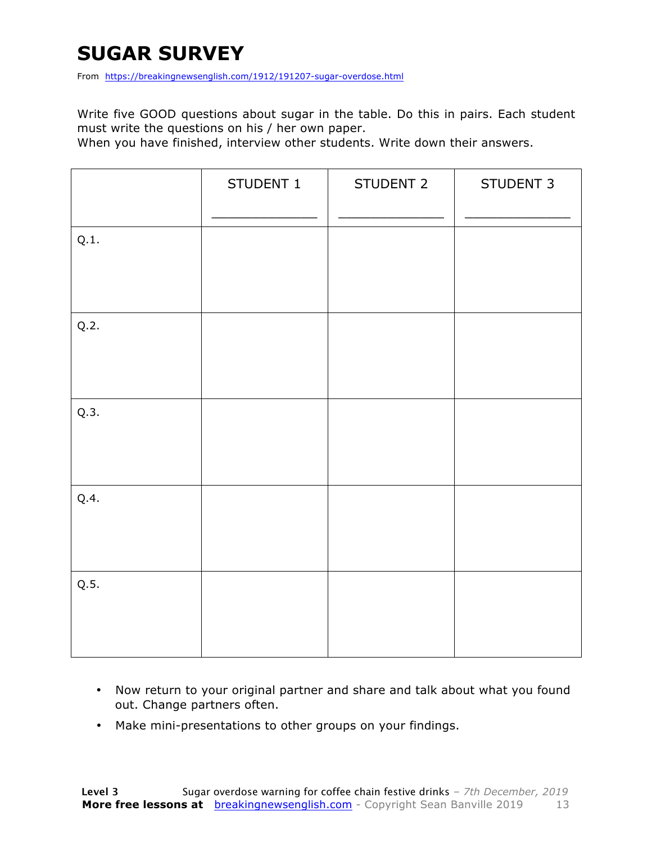### **SUGAR SURVEY**

From https://breakingnewsenglish.com/1912/191207-sugar-overdose.html

Write five GOOD questions about sugar in the table. Do this in pairs. Each student must write the questions on his / her own paper.

When you have finished, interview other students. Write down their answers.

|      | STUDENT 1 | STUDENT 2 | STUDENT 3 |
|------|-----------|-----------|-----------|
| Q.1. |           |           |           |
| Q.2. |           |           |           |
| Q.3. |           |           |           |
| Q.4. |           |           |           |
| Q.5. |           |           |           |

- Now return to your original partner and share and talk about what you found out. Change partners often.
- Make mini-presentations to other groups on your findings.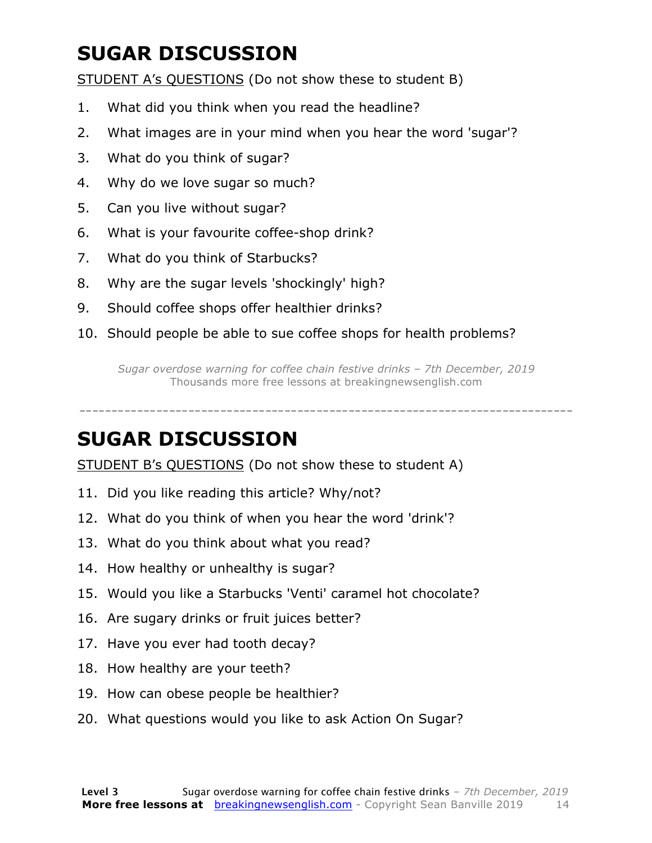### **SUGAR DISCUSSION**

STUDENT A's QUESTIONS (Do not show these to student B)

- 1. What did you think when you read the headline?
- 2. What images are in your mind when you hear the word 'sugar'?
- 3. What do you think of sugar?
- 4. Why do we love sugar so much?
- 5. Can you live without sugar?
- 6. What is your favourite coffee-shop drink?
- 7. What do you think of Starbucks?
- 8. Why are the sugar levels 'shockingly' high?
- 9. Should coffee shops offer healthier drinks?
- 10. Should people be able to sue coffee shops for health problems?

*Sugar overdose warning for coffee chain festive drinks – 7th December, 2019* Thousands more free lessons at breakingnewsenglish.com

-----------------------------------------------------------------------------

#### **SUGAR DISCUSSION**

STUDENT B's QUESTIONS (Do not show these to student A)

- 11. Did you like reading this article? Why/not?
- 12. What do you think of when you hear the word 'drink'?
- 13. What do you think about what you read?
- 14. How healthy or unhealthy is sugar?
- 15. Would you like a Starbucks 'Venti' caramel hot chocolate?
- 16. Are sugary drinks or fruit juices better?
- 17. Have you ever had tooth decay?
- 18. How healthy are your teeth?
- 19. How can obese people be healthier?
- 20. What questions would you like to ask Action On Sugar?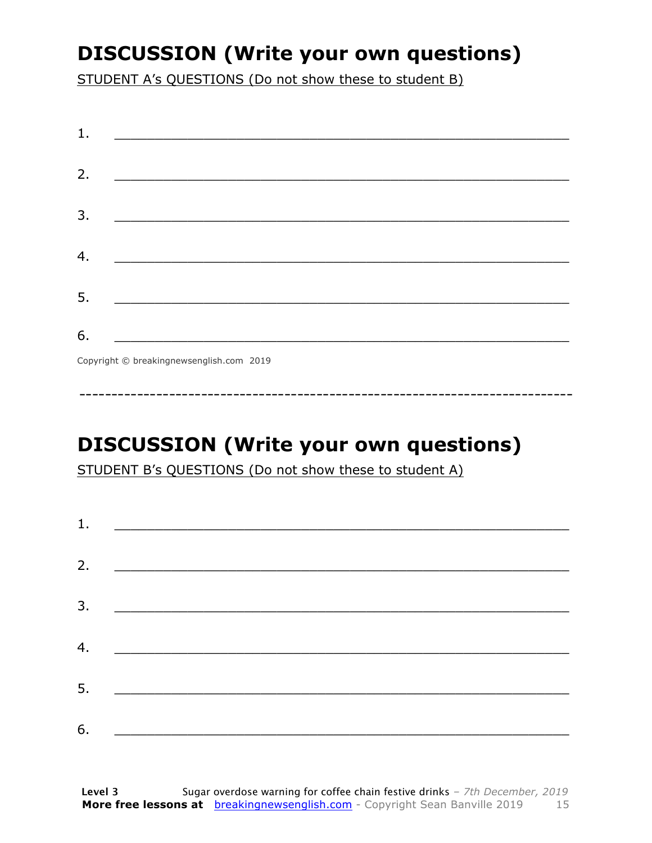### **DISCUSSION (Write your own questions)**

STUDENT A's QUESTIONS (Do not show these to student B)

| 1. |                                          |
|----|------------------------------------------|
|    |                                          |
| 2. |                                          |
|    |                                          |
| 3. |                                          |
|    |                                          |
| 4. |                                          |
|    |                                          |
| 5. |                                          |
|    |                                          |
| 6. |                                          |
|    |                                          |
|    | Copyright © breakingnewsenglish.com 2019 |

**DISCUSSION (Write your own questions)** 

STUDENT B's QUESTIONS (Do not show these to student A)

| 1. |                                                    |  |  |
|----|----------------------------------------------------|--|--|
| 2. |                                                    |  |  |
|    |                                                    |  |  |
| 3. |                                                    |  |  |
|    |                                                    |  |  |
| 4. |                                                    |  |  |
| 5. | <u> 1980 - John Stone, Amerikaansk politiker (</u> |  |  |
|    |                                                    |  |  |
| 6. |                                                    |  |  |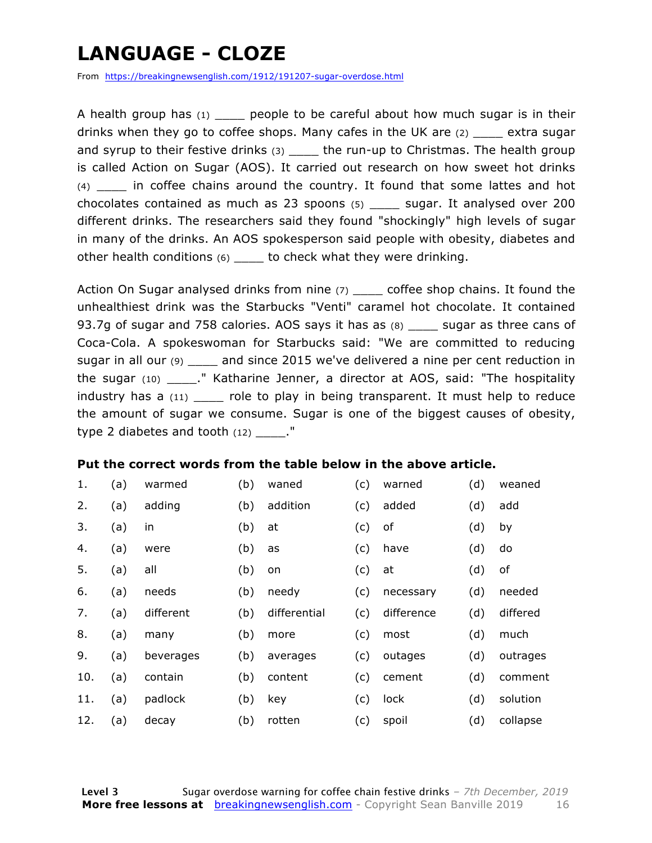### **LANGUAGE - CLOZE**

From https://breakingnewsenglish.com/1912/191207-sugar-overdose.html

A health group has  $(1)$  people to be careful about how much sugar is in their drinks when they go to coffee shops. Many cafes in the UK are  $(2)$  extra sugar and syrup to their festive drinks  $(3)$  \_\_\_\_ the run-up to Christmas. The health group is called Action on Sugar (AOS). It carried out research on how sweet hot drinks (4) \_\_\_\_ in coffee chains around the country. It found that some lattes and hot chocolates contained as much as 23 spoons (5) \_\_\_\_ sugar. It analysed over 200 different drinks. The researchers said they found "shockingly" high levels of sugar in many of the drinks. An AOS spokesperson said people with obesity, diabetes and other health conditions (6) \_\_\_\_ to check what they were drinking.

Action On Sugar analysed drinks from nine (7) \_\_\_\_\_ coffee shop chains. It found the unhealthiest drink was the Starbucks "Venti" caramel hot chocolate. It contained 93.7g of sugar and 758 calories. AOS says it has as (8) \_\_\_\_ sugar as three cans of Coca-Cola. A spokeswoman for Starbucks said: "We are committed to reducing sugar in all our (9) \_\_\_\_\_ and since 2015 we've delivered a nine per cent reduction in the sugar (10) ." Katharine Jenner, a director at AOS, said: "The hospitality industry has a (11) \_\_\_\_\_ role to play in being transparent. It must help to reduce the amount of sugar we consume. Sugar is one of the biggest causes of obesity, type 2 diabetes and tooth  $(12)$  ."

#### **Put the correct words from the table below in the above article.**

| 1.  | (a) | warmed    | (b) | waned        | (c) | warned     | (d) | weaned   |
|-----|-----|-----------|-----|--------------|-----|------------|-----|----------|
| 2.  | (a) | adding    | (b) | addition     | (c) | added      | (d) | add      |
| 3.  | (a) | in        | (b) | at           | (c) | оf         | (d) | by       |
| 4.  | (a) | were      | (b) | as           | (c) | have       | (d) | do       |
| 5.  | (a) | all       | (b) | on           | (c) | at         | (d) | of       |
| 6.  | (a) | needs     | (b) | needy        | (c) | necessary  | (d) | needed   |
| 7.  | (a) | different | (b) | differential | (c) | difference | (d) | differed |
| 8.  | (a) | many      | (b) | more         | (c) | most       | (d) | much     |
| 9.  | (a) | beverages | (b) | averages     | (c) | outages    | (d) | outrages |
| 10. | (a) | contain   | (b) | content      | (c) | cement     | (d) | comment  |
| 11. | (a) | padlock   | (b) | key          | (c) | lock       | (d) | solution |
| 12. | (a) | decay     | (b) | rotten       | (c) | spoil      | (d) | collapse |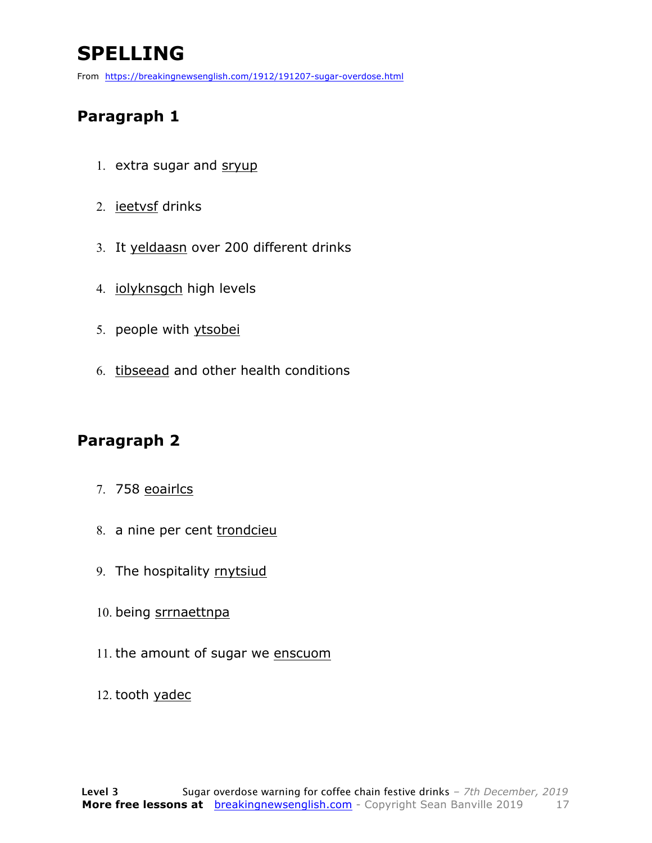### **SPELLING**

From https://breakingnewsenglish.com/1912/191207-sugar-overdose.html

#### **Paragraph 1**

- 1. extra sugar and sryup
- 2. ieetvsf drinks
- 3. It yeldaasn over 200 different drinks
- 4. iolyknsgch high levels
- 5. people with ytsobei
- 6. tibseead and other health conditions

#### **Paragraph 2**

- 7. 758 eoairlcs
- 8. a nine per cent trondcieu
- 9. The hospitality rnytsiud
- 10. being srrnaettnpa
- 11. the amount of sugar we enscuom
- 12. tooth yadec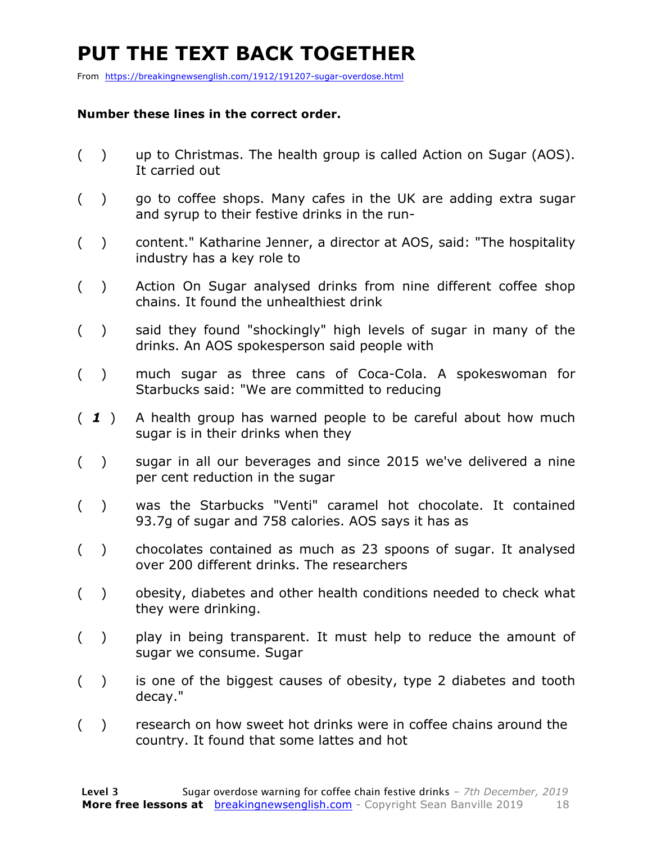### **PUT THE TEXT BACK TOGETHER**

From https://breakingnewsenglish.com/1912/191207-sugar-overdose.html

#### **Number these lines in the correct order.**

- ( ) up to Christmas. The health group is called Action on Sugar (AOS). It carried out
- ( ) go to coffee shops. Many cafes in the UK are adding extra sugar and syrup to their festive drinks in the run-
- ( ) content." Katharine Jenner, a director at AOS, said: "The hospitality industry has a key role to
- ( ) Action On Sugar analysed drinks from nine different coffee shop chains. It found the unhealthiest drink
- ( ) said they found "shockingly" high levels of sugar in many of the drinks. An AOS spokesperson said people with
- ( ) much sugar as three cans of Coca-Cola. A spokeswoman for Starbucks said: "We are committed to reducing
- ( *1* ) A health group has warned people to be careful about how much sugar is in their drinks when they
- ( ) sugar in all our beverages and since 2015 we've delivered a nine per cent reduction in the sugar
- ( ) was the Starbucks "Venti" caramel hot chocolate. It contained 93.7g of sugar and 758 calories. AOS says it has as
- ( ) chocolates contained as much as 23 spoons of sugar. It analysed over 200 different drinks. The researchers
- ( ) obesity, diabetes and other health conditions needed to check what they were drinking.
- ( ) play in being transparent. It must help to reduce the amount of sugar we consume. Sugar
- ( ) is one of the biggest causes of obesity, type 2 diabetes and tooth decay."
- ( ) research on how sweet hot drinks were in coffee chains around the country. It found that some lattes and hot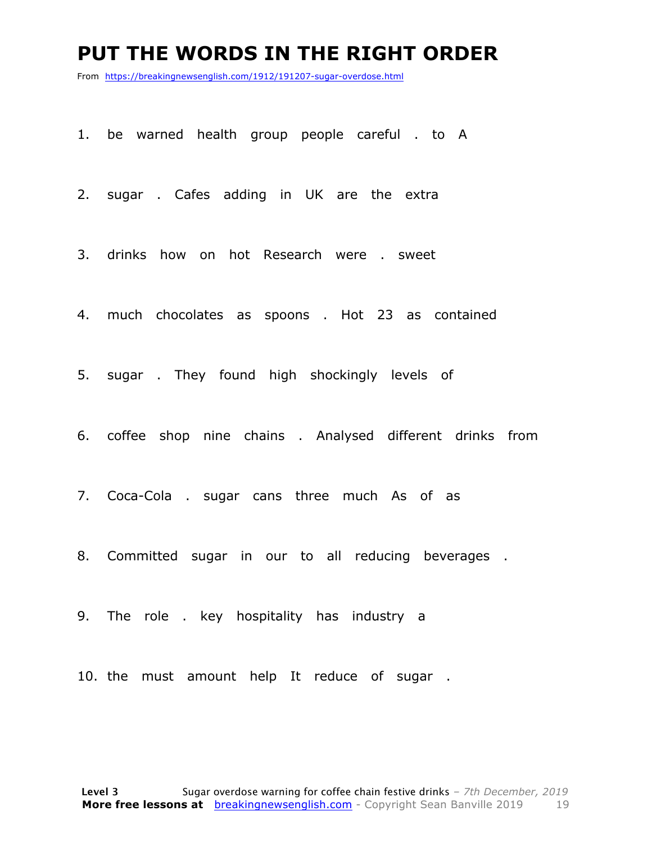#### **PUT THE WORDS IN THE RIGHT ORDER**

From https://breakingnewsenglish.com/1912/191207-sugar-overdose.html

1. be warned health group people careful . to A

2. sugar . Cafes adding in UK are the extra

3. drinks how on hot Research were . sweet

4. much chocolates as spoons . Hot 23 as contained

5. sugar . They found high shockingly levels of

6. coffee shop nine chains . Analysed different drinks from

7. Coca-Cola . sugar cans three much As of as

8. Committed sugar in our to all reducing beverages .

9. The role . key hospitality has industry a

10. the must amount help It reduce of sugar .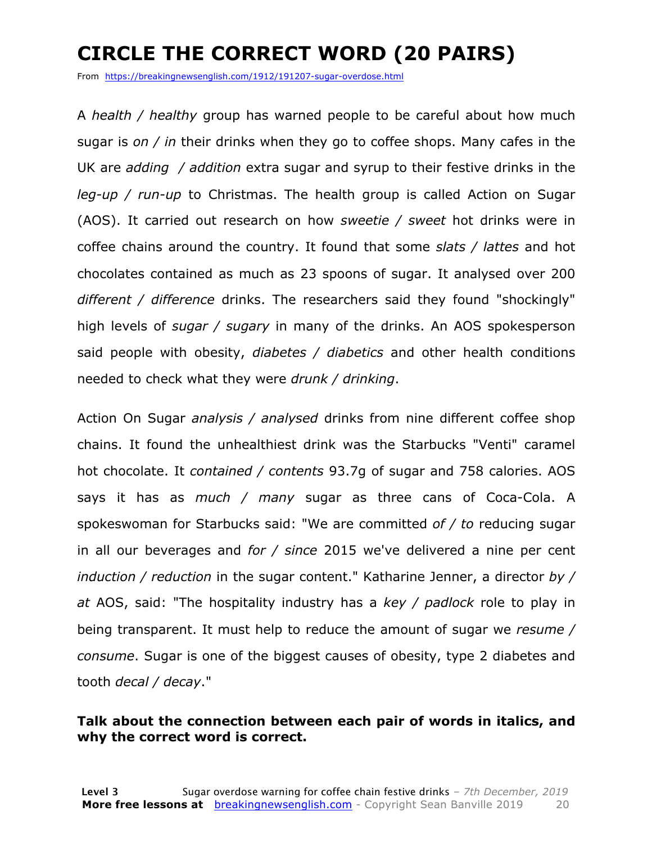### **CIRCLE THE CORRECT WORD (20 PAIRS)**

From https://breakingnewsenglish.com/1912/191207-sugar-overdose.html

A *health / healthy* group has warned people to be careful about how much sugar is *on / in* their drinks when they go to coffee shops. Many cafes in the UK are *adding / addition* extra sugar and syrup to their festive drinks in the *leg-up / run-up* to Christmas. The health group is called Action on Sugar (AOS). It carried out research on how *sweetie / sweet* hot drinks were in coffee chains around the country. It found that some *slats / lattes* and hot chocolates contained as much as 23 spoons of sugar. It analysed over 200 *different / difference* drinks. The researchers said they found "shockingly" high levels of *sugar / sugary* in many of the drinks. An AOS spokesperson said people with obesity, *diabetes / diabetics* and other health conditions needed to check what they were *drunk / drinking*.

Action On Sugar *analysis / analysed* drinks from nine different coffee shop chains. It found the unhealthiest drink was the Starbucks "Venti" caramel hot chocolate. It *contained / contents* 93.7g of sugar and 758 calories. AOS says it has as *much / many* sugar as three cans of Coca-Cola. A spokeswoman for Starbucks said: "We are committed *of / to* reducing sugar in all our beverages and *for / since* 2015 we've delivered a nine per cent *induction / reduction* in the sugar content." Katharine Jenner, a director *by / at* AOS, said: "The hospitality industry has a *key / padlock* role to play in being transparent. It must help to reduce the amount of sugar we *resume / consume*. Sugar is one of the biggest causes of obesity, type 2 diabetes and tooth *decal / decay*."

#### **Talk about the connection between each pair of words in italics, and why the correct word is correct.**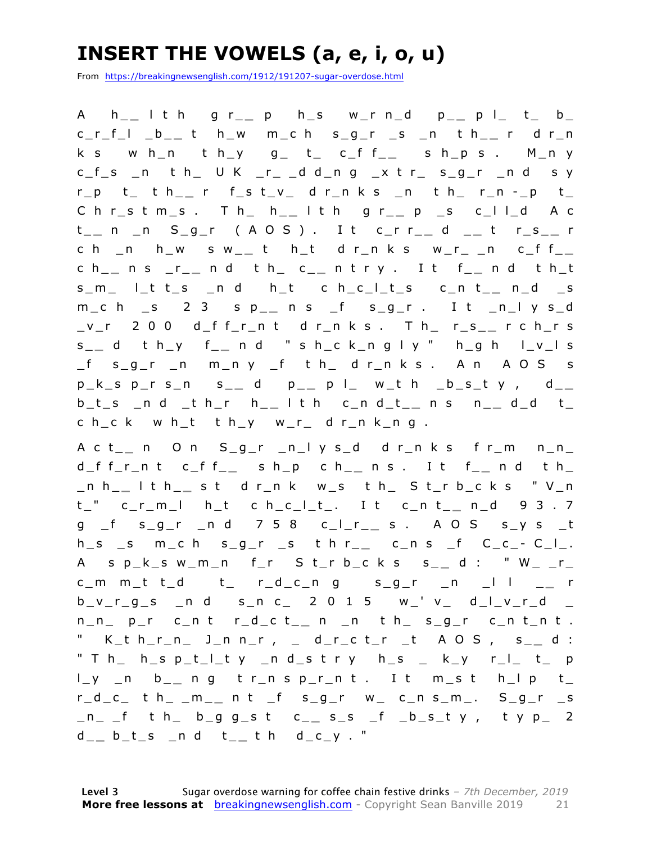### **INSERT THE VOWELS (a, e, i, o, u)**

From https://breakingnewsenglish.com/1912/191207-sugar-overdose.html

A h\_ **\_** l t h g r\_ **\_** p h\_s w\_r n\_d p\_ **\_** p l\_ t\_ b\_ c\_r\_f\_l \_b\_ **\_** t h\_w m\_c h s\_g\_r \_s \_n t h\_ **\_** r d r\_n k s w h\_n t h\_y  $g_$  t\_ c\_f f\_\_ s h\_p s . M\_n y  $c_f$ <sub>s</sub>  $n$  th U K  $r$  ddng x tr sgr ndsy r\_p t\_ t h\_ **\_** r f\_s t\_v\_ d r\_n k s \_n t h\_ r\_n - \_p t\_ C h r\_s t m\_s . T h\_ h\_ **\_** l t h g r\_ **\_** p \_s c\_l l\_d A c t \_ **\_** n \_n S\_g\_r ( A O S ) . I t c\_r r \_ **\_** d \_ **\_** t r\_s\_ **\_** r c h \_n h\_w s w\_ **\_** t h\_t d r\_n k s w\_r\_ \_n c\_f f\_ **\_**  c h\_ **\_** n s \_r\_ **\_** n d t h\_ c\_ **\_** n t r y . I t f\_ **\_** n d t h\_t s\_m\_ l\_t t\_s \_n d h\_t c h\_c\_l\_t\_s c\_n t\_ **\_** n\_d \_s m\_c h \_s 2 3 s p\_ **\_** n s \_f s\_g\_r . I t \_n\_l y s\_d \_v\_r 2 0 0 d\_f f\_r\_n t d r\_n k s . T h\_ r\_s\_ **\_** r c h\_r s s \_ **\_** d t h\_y f\_ **\_** n d " s h\_c k\_n g l y " h\_g h l\_v\_l s \_f s\_g\_r \_n m\_n y \_f t h\_ d r\_n k s . A n A O S s p\_k\_s p\_r s\_n s\_ **\_** d p\_ **\_** p l\_ w\_t h \_b\_s\_t y , d\_ **\_**  b\_t\_s \_n d \_t h\_r h\_ **\_** l t h c\_n d\_t\_ **\_** n s n\_ **\_** d\_d t\_ c h\_c k w h\_t t h\_y w\_r\_ d r\_n k\_n g .

A c t\_ **\_** n O n S\_g\_r \_n\_l y s\_d d r\_n k s f r\_m n\_n\_ d\_f f\_r\_n t c\_f f\_ **\_** s h\_p c h\_ **\_** n s . I t f\_ **\_** n d t h\_ \_n h\_ **\_** l t h\_ **\_** s t d r\_n k w\_s t h\_ S t\_r b\_c k s " V\_n t\_" c\_r\_m\_l h\_t c h\_c\_l\_t\_. I t c\_n t\_ **\_** n\_d 9 3 . 7 g \_f s\_g\_r \_n d 7 5 8 c\_l\_r\_ **\_** s . A O S s\_y s \_t  $h_s$  \_s m\_c h s\_g\_r \_s t h r\_\_ c\_n s \_f C\_c\_-C\_l\_. A s p\_k\_s w\_m\_n f\_r S t\_r b\_c k s s\_ **\_** d : " W\_ \_r\_ c\_m m\_t t\_d t\_ r\_d\_c\_n g s\_g\_r \_n \_l l \_ **\_** r  $b_v_r_g_s$   $n$  d  $s_n c$  2 0 1 5  $w$  v d l v r d n\_n\_ p\_r c\_n t r\_d\_c t\_ **\_** n \_n t h\_ s\_g\_r c\_n t\_n t . " K\_t h\_ r\_n\_ J\_n n\_r , \_ d\_r\_c t\_r \_t A O S , s\_ **\_** d : " T h\_ h\_s p\_t\_l\_t y \_n d\_s t r y h\_s \_ k\_y r\_l\_ t\_ p l\_y \_n b\_ **\_** n g t r\_n s p\_r\_n t . I t m\_s t h\_l p t\_ r\_d\_c\_ t h\_ \_m\_ **\_** n t \_f s\_g\_r w\_ c\_n s\_m\_. S\_g\_r \_s \_n\_ \_f t h\_ b\_g g\_s t c\_ **\_** s\_s \_f \_b\_s\_t y , t y p\_ 2 d \_ **\_** b\_t\_s \_n d t\_ **\_** t h d\_c\_y . "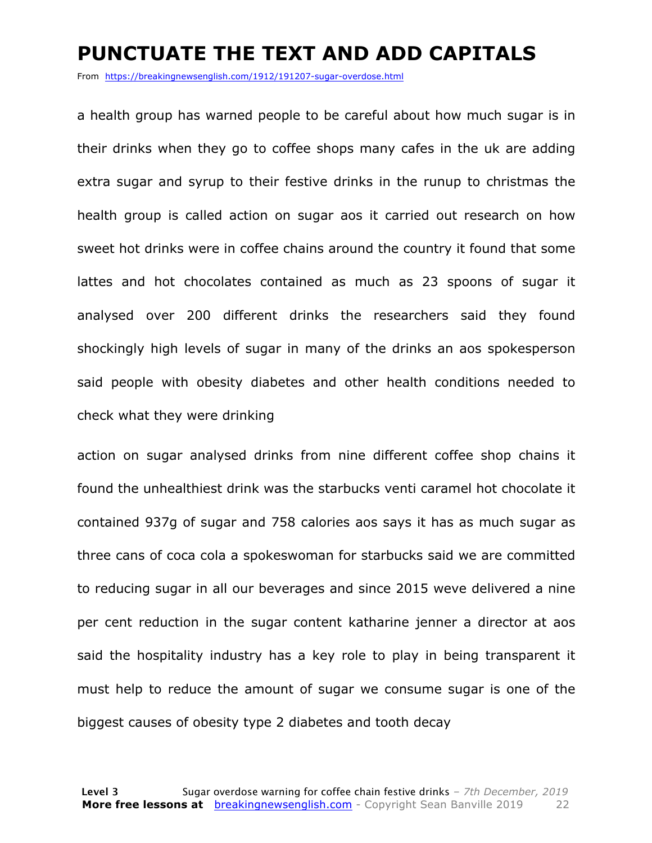#### **PUNCTUATE THE TEXT AND ADD CAPITALS**

From https://breakingnewsenglish.com/1912/191207-sugar-overdose.html

a health group has warned people to be careful about how much sugar is in their drinks when they go to coffee shops many cafes in the uk are adding extra sugar and syrup to their festive drinks in the runup to christmas the health group is called action on sugar aos it carried out research on how sweet hot drinks were in coffee chains around the country it found that some lattes and hot chocolates contained as much as 23 spoons of sugar it analysed over 200 different drinks the researchers said they found shockingly high levels of sugar in many of the drinks an aos spokesperson said people with obesity diabetes and other health conditions needed to check what they were drinking

action on sugar analysed drinks from nine different coffee shop chains it found the unhealthiest drink was the starbucks venti caramel hot chocolate it contained 937g of sugar and 758 calories aos says it has as much sugar as three cans of coca cola a spokeswoman for starbucks said we are committed to reducing sugar in all our beverages and since 2015 weve delivered a nine per cent reduction in the sugar content katharine jenner a director at aos said the hospitality industry has a key role to play in being transparent it must help to reduce the amount of sugar we consume sugar is one of the biggest causes of obesity type 2 diabetes and tooth decay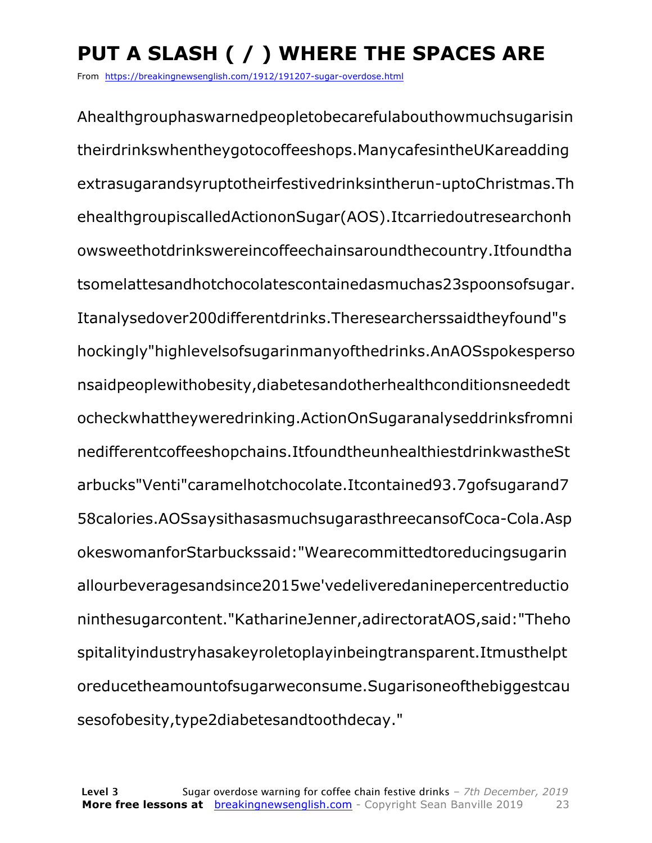## **PUT A SLASH ( / ) WHERE THE SPACES ARE**

From https://breakingnewsenglish.com/1912/191207-sugar-overdose.html

Ahealthgrouphaswarnedpeopletobecarefulabouthowmuchsugarisin theirdrinkswhentheygotocoffeeshops.ManycafesintheUKareadding extrasugarandsyruptotheirfestivedrinksintherun-uptoChristmas.Th ehealthgroupiscalledActiononSugar(AOS).Itcarriedoutresearchonh owsweethotdrinkswereincoffeechainsaroundthecountry.Itfoundtha tsomelattesandhotchocolatescontainedasmuchas23spoonsofsugar. Itanalysedover200differentdrinks.Theresearcherssaidtheyfound"s hockingly"highlevelsofsugarinmanyofthedrinks.AnAOSspokesperso nsaidpeoplewithobesity,diabetesandotherhealthconditionsneededt ocheckwhattheyweredrinking.ActionOnSugaranalyseddrinksfromni nedifferentcoffeeshopchains.ItfoundtheunhealthiestdrinkwastheSt arbucks"Venti"caramelhotchocolate.Itcontained93.7gofsugarand7 58calories.AOSsaysithasasmuchsugarasthreecansofCoca-Cola.Asp okeswomanforStarbuckssaid:"Wearecommittedtoreducingsugarin allourbeveragesandsince2015we'vedeliveredaninepercentreductio ninthesugarcontent."KatharineJenner,adirectoratAOS,said:"Theho spitalityindustryhasakeyroletoplayinbeingtransparent.Itmusthelpt oreducetheamountofsugarweconsume.Sugarisoneofthebiggestcau sesofobesity,type2diabetesandtoothdecay."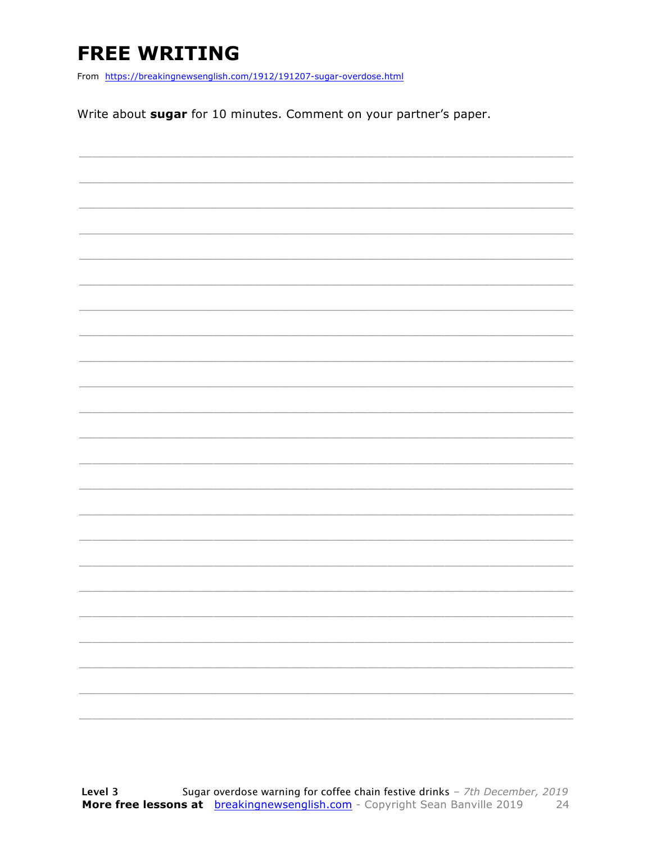### **FREE WRITING**

From https://breakingnewsenglish.com/1912/191207-sugar-overdose.html

Write about sugar for 10 minutes. Comment on your partner's paper.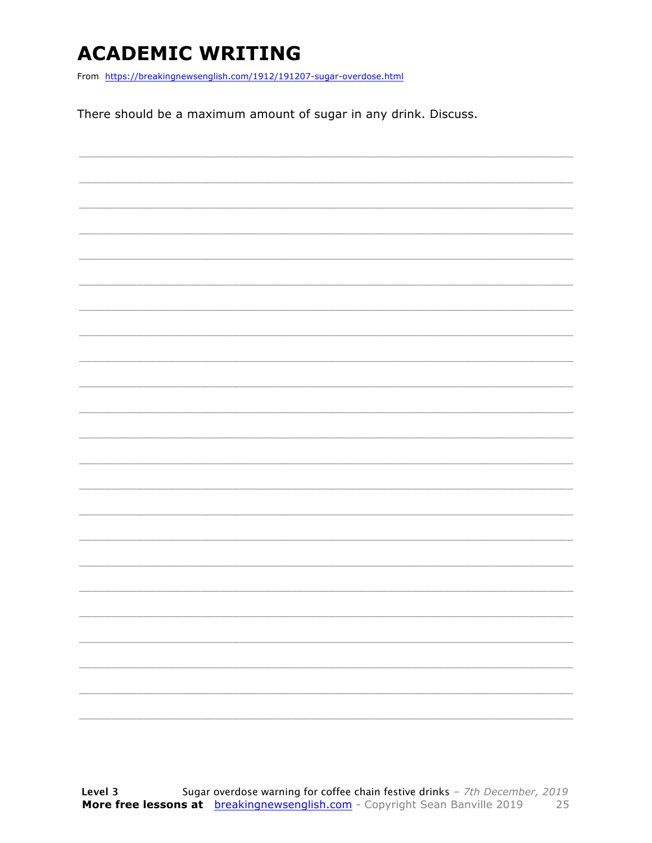### **ACADEMIC WRITING**

From https://breakingnewsenglish.com/1912/191207-sugar-overdose.html

There should be a maximum amount of sugar in any drink. Discuss.

|  |  |  | $\overline{\phantom{0}}$ |
|--|--|--|--------------------------|
|  |  |  |                          |
|  |  |  | -                        |
|  |  |  |                          |
|  |  |  |                          |
|  |  |  |                          |
|  |  |  |                          |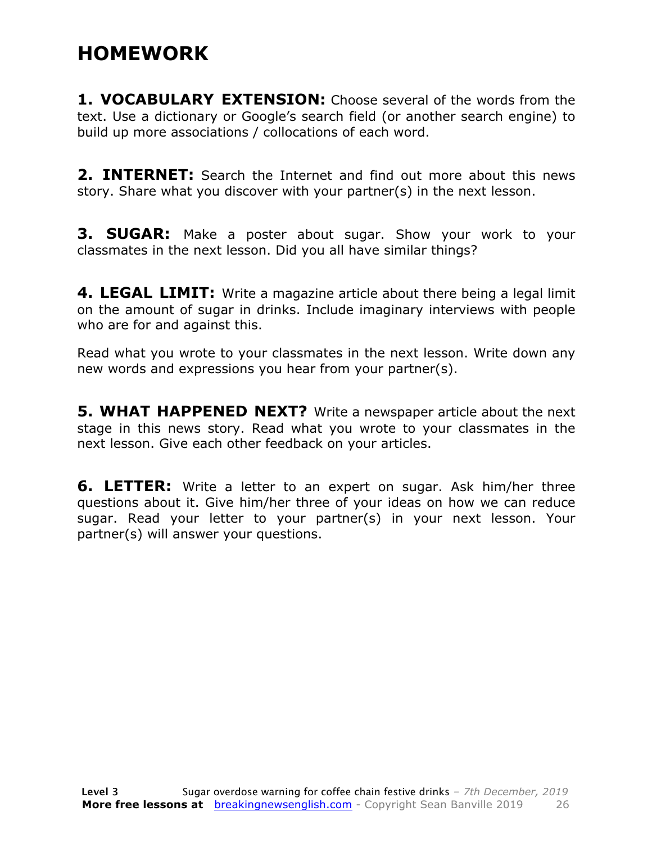### **HOMEWORK**

**1. VOCABULARY EXTENSION:** Choose several of the words from the text. Use a dictionary or Google's search field (or another search engine) to build up more associations / collocations of each word.

**2. INTERNET:** Search the Internet and find out more about this news story. Share what you discover with your partner(s) in the next lesson.

**3. SUGAR:** Make a poster about sugar. Show your work to your classmates in the next lesson. Did you all have similar things?

**4. LEGAL LIMIT:** Write a magazine article about there being a legal limit on the amount of sugar in drinks. Include imaginary interviews with people who are for and against this.

Read what you wrote to your classmates in the next lesson. Write down any new words and expressions you hear from your partner(s).

**5. WHAT HAPPENED NEXT?** Write a newspaper article about the next stage in this news story. Read what you wrote to your classmates in the next lesson. Give each other feedback on your articles.

**6. LETTER:** Write a letter to an expert on sugar. Ask him/her three questions about it. Give him/her three of your ideas on how we can reduce sugar. Read your letter to your partner(s) in your next lesson. Your partner(s) will answer your questions.